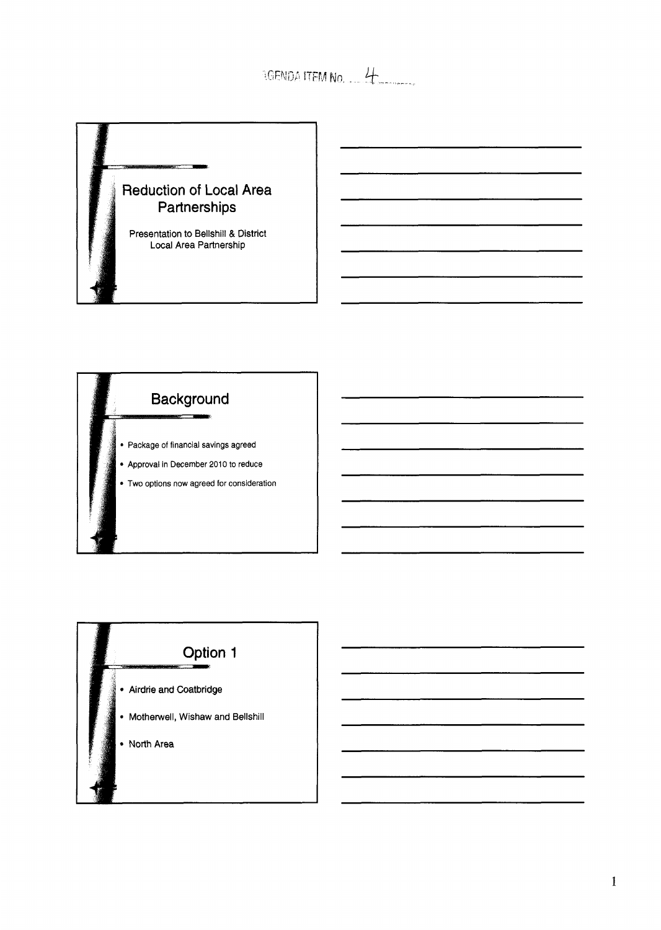AGENDA ITEM No. 4

# $\sim$   $\sim$ **Reduction of Local Area** Partnerships Presentation to Bellshill & District<br>Local Area Partnership



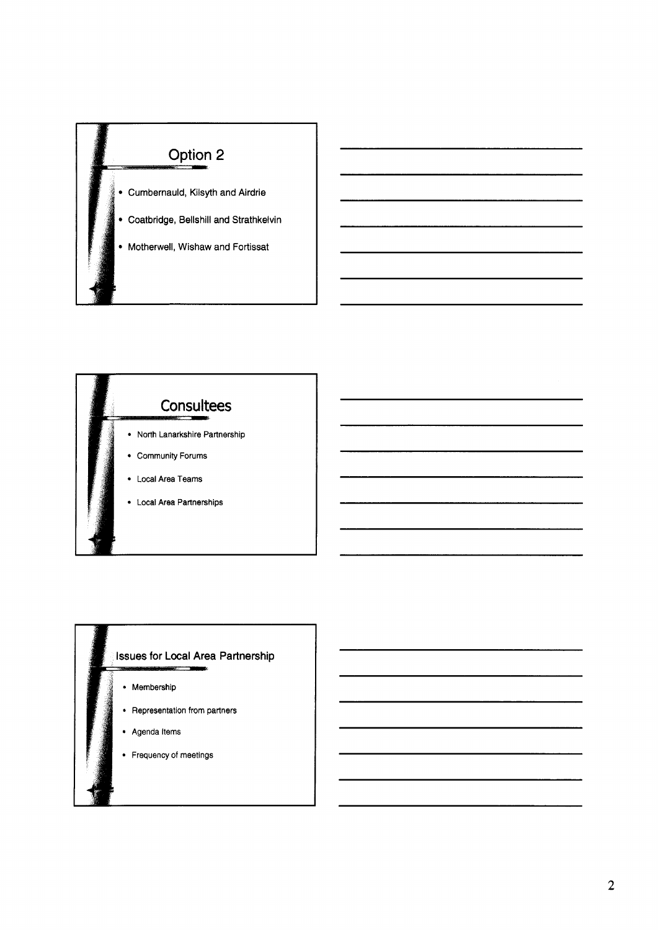



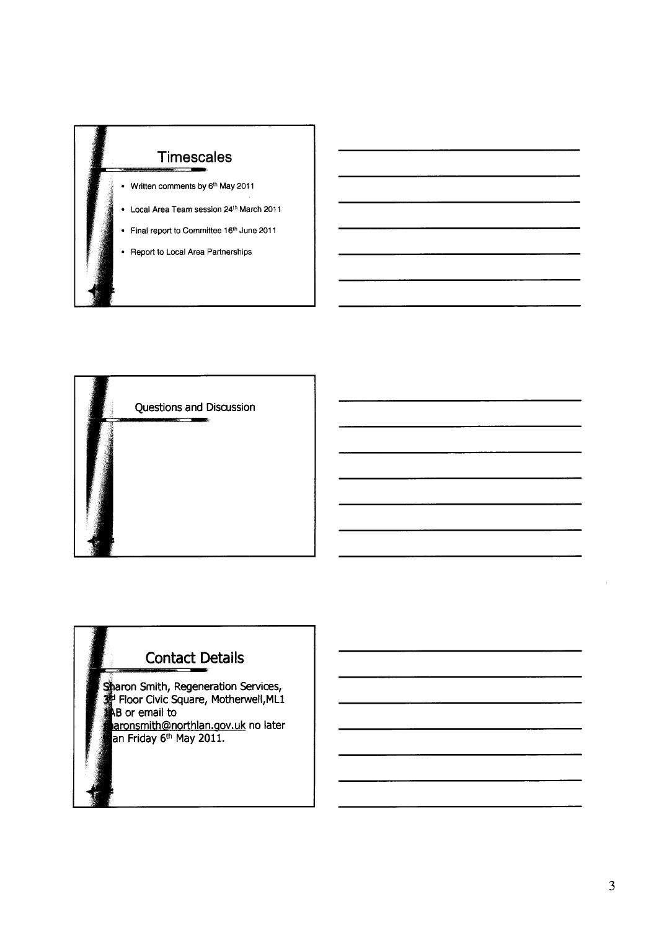



## **Contact Details**

Sharon Smith, Regeneration Services,<br>3<sup>4</sup> Floor Civic Square, Motherwell, ML1<br>48 or email to **B** or email to aronsmith@northlan.gov.uk no later<br>an Friday 6<sup>th</sup> May 2011.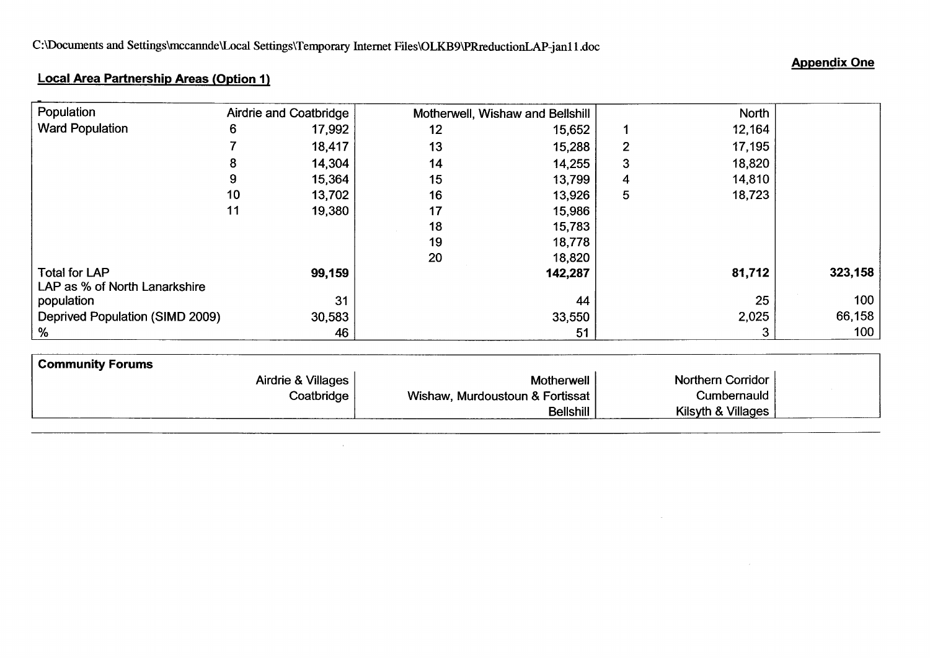#### **Appendix One**

## **Local Area Partnership Areas (Option I)**

| Airdrie and Coatbridge<br>North $ $<br>Motherwell, Wishaw and Bellshill<br>12,164<br>6<br>17,992<br>12<br>15,652<br>18,417<br>17,195<br>13<br>15,288<br>$\overline{2}$<br>18,820<br>14,304<br>14,255<br>3<br>14<br>15<br>14,810<br>15,364<br>13,799<br>18,723<br>$10$<br>13,702<br>$16\,$<br>13,926<br>5 <sub>5</sub><br>11<br>17<br>19,380<br>15,986<br>$18$<br>15,783<br>19<br>18,778<br>20<br>18,820<br>81,712<br>99,159<br>142,287<br>31<br>25<br>44<br>2,025<br>30,583<br>33,550<br>$\overline{3}$<br>51<br>46<br>Airdrie & Villages<br>Northern Corridor<br>Motherwell<br>Cumbernauld<br>Coatbridge<br>Wishaw, Murdoustoun & Fortissat<br>Kilsyth & Villages<br>Bellshill |                      |  |  |  |  |
|---------------------------------------------------------------------------------------------------------------------------------------------------------------------------------------------------------------------------------------------------------------------------------------------------------------------------------------------------------------------------------------------------------------------------------------------------------------------------------------------------------------------------------------------------------------------------------------------------------------------------------------------------------------------------------|----------------------|--|--|--|--|
|                                                                                                                                                                                                                                                                                                                                                                                                                                                                                                                                                                                                                                                                                 |                      |  |  |  |  |
|                                                                                                                                                                                                                                                                                                                                                                                                                                                                                                                                                                                                                                                                                 |                      |  |  |  |  |
|                                                                                                                                                                                                                                                                                                                                                                                                                                                                                                                                                                                                                                                                                 |                      |  |  |  |  |
| <b>Appendix One</b><br>323,158<br>100<br>66,158<br>100                                                                                                                                                                                                                                                                                                                                                                                                                                                                                                                                                                                                                          |                      |  |  |  |  |
|                                                                                                                                                                                                                                                                                                                                                                                                                                                                                                                                                                                                                                                                                 |                      |  |  |  |  |
| <b>Local Area Partnership Areas (Option 1)</b><br>$\%$                                                                                                                                                                                                                                                                                                                                                                                                                                                                                                                                                                                                                          |                      |  |  |  |  |
| Population<br><b>Ward Population</b><br>LAP as % of North Lanarkshire<br>population<br>Deprived Population (SIMD 2009)<br><b>Community Forums</b>                                                                                                                                                                                                                                                                                                                                                                                                                                                                                                                               |                      |  |  |  |  |
| C:\Documents and Settings\mccannde\Local Settings\Temporary Internet Files\OLKB9\PRreductionLAP-jan11.doc                                                                                                                                                                                                                                                                                                                                                                                                                                                                                                                                                                       |                      |  |  |  |  |
|                                                                                                                                                                                                                                                                                                                                                                                                                                                                                                                                                                                                                                                                                 |                      |  |  |  |  |
|                                                                                                                                                                                                                                                                                                                                                                                                                                                                                                                                                                                                                                                                                 |                      |  |  |  |  |
|                                                                                                                                                                                                                                                                                                                                                                                                                                                                                                                                                                                                                                                                                 |                      |  |  |  |  |
|                                                                                                                                                                                                                                                                                                                                                                                                                                                                                                                                                                                                                                                                                 |                      |  |  |  |  |
|                                                                                                                                                                                                                                                                                                                                                                                                                                                                                                                                                                                                                                                                                 |                      |  |  |  |  |
|                                                                                                                                                                                                                                                                                                                                                                                                                                                                                                                                                                                                                                                                                 |                      |  |  |  |  |
|                                                                                                                                                                                                                                                                                                                                                                                                                                                                                                                                                                                                                                                                                 |                      |  |  |  |  |
|                                                                                                                                                                                                                                                                                                                                                                                                                                                                                                                                                                                                                                                                                 |                      |  |  |  |  |
|                                                                                                                                                                                                                                                                                                                                                                                                                                                                                                                                                                                                                                                                                 |                      |  |  |  |  |
|                                                                                                                                                                                                                                                                                                                                                                                                                                                                                                                                                                                                                                                                                 |                      |  |  |  |  |
|                                                                                                                                                                                                                                                                                                                                                                                                                                                                                                                                                                                                                                                                                 |                      |  |  |  |  |
|                                                                                                                                                                                                                                                                                                                                                                                                                                                                                                                                                                                                                                                                                 |                      |  |  |  |  |
|                                                                                                                                                                                                                                                                                                                                                                                                                                                                                                                                                                                                                                                                                 |                      |  |  |  |  |
|                                                                                                                                                                                                                                                                                                                                                                                                                                                                                                                                                                                                                                                                                 |                      |  |  |  |  |
|                                                                                                                                                                                                                                                                                                                                                                                                                                                                                                                                                                                                                                                                                 |                      |  |  |  |  |
|                                                                                                                                                                                                                                                                                                                                                                                                                                                                                                                                                                                                                                                                                 |                      |  |  |  |  |
|                                                                                                                                                                                                                                                                                                                                                                                                                                                                                                                                                                                                                                                                                 |                      |  |  |  |  |
|                                                                                                                                                                                                                                                                                                                                                                                                                                                                                                                                                                                                                                                                                 |                      |  |  |  |  |
|                                                                                                                                                                                                                                                                                                                                                                                                                                                                                                                                                                                                                                                                                 |                      |  |  |  |  |
|                                                                                                                                                                                                                                                                                                                                                                                                                                                                                                                                                                                                                                                                                 |                      |  |  |  |  |
|                                                                                                                                                                                                                                                                                                                                                                                                                                                                                                                                                                                                                                                                                 |                      |  |  |  |  |
|                                                                                                                                                                                                                                                                                                                                                                                                                                                                                                                                                                                                                                                                                 | <b>Total for LAP</b> |  |  |  |  |
|                                                                                                                                                                                                                                                                                                                                                                                                                                                                                                                                                                                                                                                                                 |                      |  |  |  |  |
|                                                                                                                                                                                                                                                                                                                                                                                                                                                                                                                                                                                                                                                                                 |                      |  |  |  |  |
|                                                                                                                                                                                                                                                                                                                                                                                                                                                                                                                                                                                                                                                                                 |                      |  |  |  |  |
|                                                                                                                                                                                                                                                                                                                                                                                                                                                                                                                                                                                                                                                                                 |                      |  |  |  |  |
|                                                                                                                                                                                                                                                                                                                                                                                                                                                                                                                                                                                                                                                                                 |                      |  |  |  |  |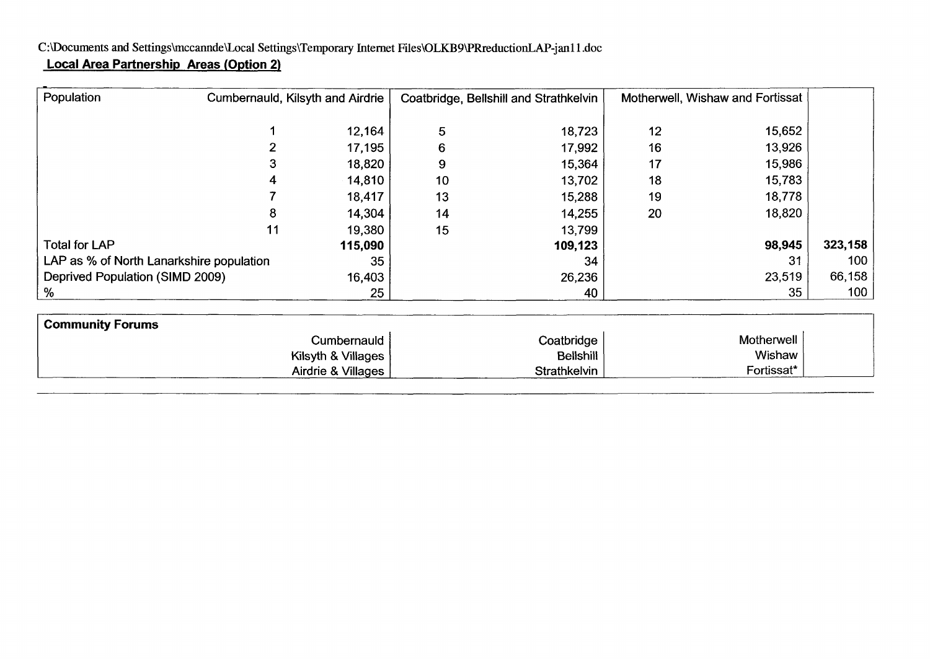### C:\Documents and Settings\mccannde\Local Settings\Temporary Internet Files\OLKB9\PRreductionLAP-jan11.doc **Local Area Partnership Areas (Option 2)**

Airdrie & Villages

| Population                               | Cumbernauld, Kilsyth and Airdrie |                    |    | Coatbridge, Bellshill and Strathkelvin | Motherwell, Wishaw and Fortissat |            |         |
|------------------------------------------|----------------------------------|--------------------|----|----------------------------------------|----------------------------------|------------|---------|
|                                          |                                  | 12,164             | 5  | 18,723                                 | 12                               | 15,652     |         |
|                                          |                                  | 17,195             | 6  | 17,992                                 | 16                               | 13,926     |         |
|                                          | 3                                | 18,820             | 9  | 15,364                                 | 17                               | 15,986     |         |
|                                          | 4                                | 14,810             | 10 | 13,702                                 | 18                               | 15,783     |         |
|                                          |                                  | 18,417             | 13 | 15,288                                 | 19                               | 18,778     |         |
|                                          | 8                                | 14,304             | 14 | 14,255                                 | 20                               | 18,820     |         |
|                                          | 11                               | 19,380             | 15 | 13,799                                 |                                  |            |         |
| <b>Total for LAP</b>                     |                                  | 115,090            |    | 109,123                                |                                  | 98,945     | 323,158 |
| LAP as % of North Lanarkshire population | 35                               |                    | 34 |                                        | 31                               | 100        |         |
| Deprived Population (SIMD 2009)          |                                  | 16,403             |    | 26,236                                 |                                  | 23,519     | 66,158  |
| %                                        |                                  | 25                 |    | 40                                     |                                  | 35         | 100     |
| <b>Community Forums</b>                  |                                  |                    |    |                                        |                                  |            |         |
|                                          |                                  | Cumbernauld        |    | Coatbridge                             |                                  | Motherwell |         |
|                                          |                                  | Kilsyth & Villages |    | <b>Bellshill</b>                       |                                  | Wishaw     |         |

**Strathkelvin** 

Fortissat\*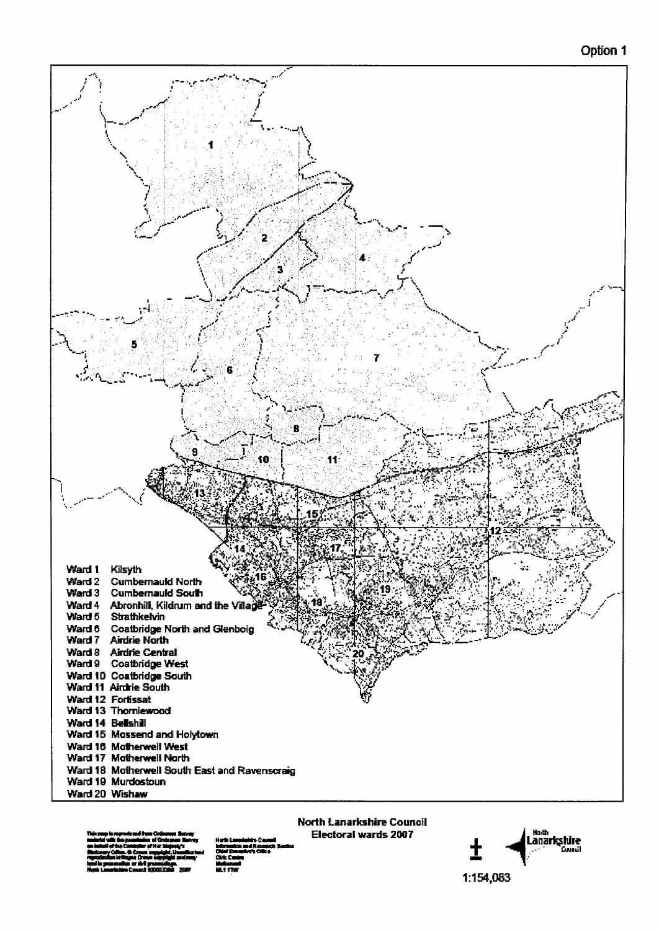#### Option 1



wa m

**PE 1 17** 

**Electoral wards 2007** 



1:154,083